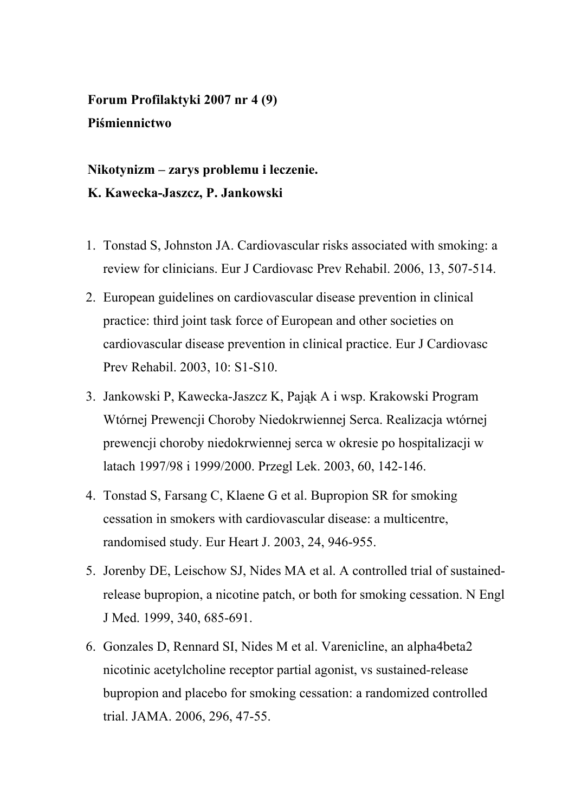**Forum Profilaktyki 2007 nr 4 (9) Piśmiennictwo** 

## **Nikotynizm – zarys problemu i leczenie. K. Kawecka-Jaszcz, P. Jankowski**

- 1. Tonstad S, Johnston JA. Cardiovascular risks associated with smoking: a review for clinicians. Eur J Cardiovasc Prev Rehabil. 2006, 13, 507-514.
- 2. European guidelines on cardiovascular disease prevention in clinical practice: third joint task force of European and other societies on cardiovascular disease prevention in clinical practice. Eur J Cardiovasc Prev Rehabil. 2003, 10: S1-S10.
- 3. Jankowski P, Kawecka-Jaszcz K, Pająk A i wsp. Krakowski Program Wtórnej Prewencji Choroby Niedokrwiennej Serca. Realizacja wtórnej prewencji choroby niedokrwiennej serca w okresie po hospitalizacji w latach 1997/98 i 1999/2000. Przegl Lek. 2003, 60, 142-146.
- 4. Tonstad S, Farsang C, Klaene G et al. Bupropion SR for smoking cessation in smokers with cardiovascular disease: a multicentre, randomised study. Eur Heart J. 2003, 24, 946-955.
- 5. Jorenby DE, Leischow SJ, Nides MA et al. A controlled trial of sustainedrelease bupropion, a nicotine patch, or both for smoking cessation. N Engl J Med. 1999, 340, 685-691.
- 6. Gonzales D, Rennard SI, Nides M et al. Varenicline, an alpha4beta2 nicotinic acetylcholine receptor partial agonist, vs sustained-release bupropion and placebo for smoking cessation: a randomized controlled trial. JAMA. 2006, 296, 47-55.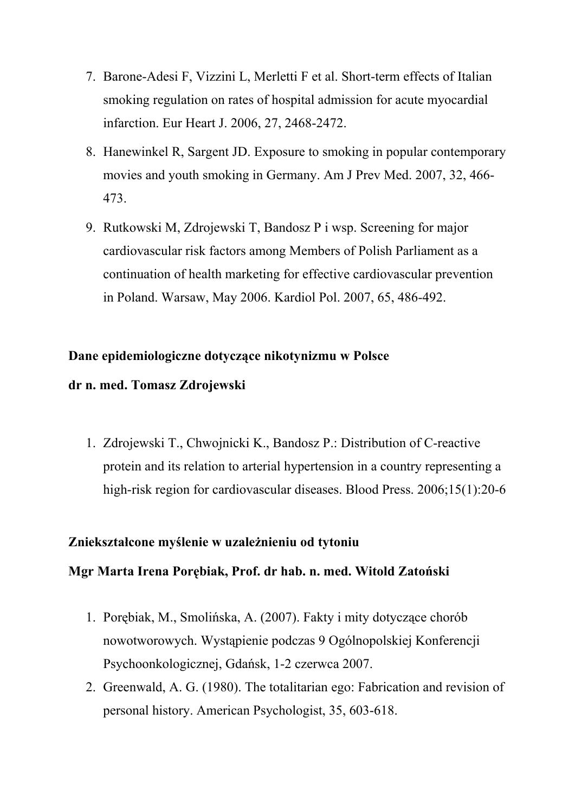- 7. Barone-Adesi F, Vizzini L, Merletti F et al. Short-term effects of Italian smoking regulation on rates of hospital admission for acute myocardial infarction. Eur Heart J. 2006, 27, 2468-2472.
- 8. Hanewinkel R, Sargent JD. Exposure to smoking in popular contemporary movies and youth smoking in Germany. Am J Prev Med. 2007, 32, 466- 473.
- 9. Rutkowski M, Zdrojewski T, Bandosz P i wsp. Screening for major cardiovascular risk factors among Members of Polish Parliament as a continuation of health marketing for effective cardiovascular prevention in Poland. Warsaw, May 2006. Kardiol Pol. 2007, 65, 486-492.

### **Dane epidemiologiczne dotyczące nikotynizmu w Polsce**

### **dr n. med. Tomasz Zdrojewski**

1. Zdrojewski T., Chwojnicki K., Bandosz P.: Distribution of C-reactive protein and its relation to arterial hypertension in a country representing a high-risk region for cardiovascular diseases. Blood Press. 2006;15(1):20-6

## **Zniekształcone myślenie w uzależnieniu od tytoniu**

## **Mgr Marta Irena Porębiak, Prof. dr hab. n. med. Witold Zatoński**

- 1. Porębiak, M., Smolińska, A. (2007). Fakty i mity dotyczące chorób nowotworowych. Wystąpienie podczas 9 Ogólnopolskiej Konferencji Psychoonkologicznej, Gdańsk, 1-2 czerwca 2007.
- 2. Greenwald, A. G. (1980). The totalitarian ego: Fabrication and revision of personal history. American Psychologist, 35, 603-618.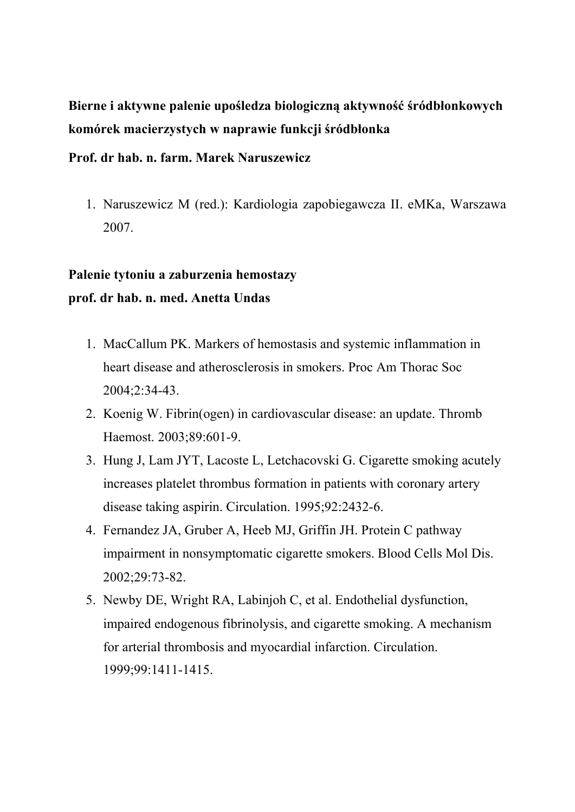**Bierne i aktywne palenie upośledza biologiczną aktywność śródbłonkowych komórek macierzystych w naprawie funkcji śródbłonka** 

#### **Prof. dr hab. n. farm. Marek Naruszewicz**

1. Naruszewicz M (red.): Kardiologia zapobiegawcza II. eMKa, Warszawa 2007.

## **Palenie tytoniu a zaburzenia hemostazy prof. dr hab. n. med. Anetta Undas**

- 1. MacCallum PK. Markers of hemostasis and systemic inflammation in heart disease and atherosclerosis in smokers. Proc Am Thorac Soc 2004;2:34-43.
- 2. Koenig W. Fibrin(ogen) in cardiovascular disease: an update. Thromb Haemost. 2003;89:601-9.
- 3. Hung J, Lam JYT, Lacoste L, Letchacovski G. Cigarette smoking acutely increases platelet thrombus formation in patients with coronary artery disease taking aspirin. Circulation. 1995;92:2432-6.
- 4. Fernandez JA, Gruber A, Heeb MJ, Griffin JH. Protein C pathway impairment in nonsymptomatic cigarette smokers. Blood Cells Mol Dis. 2002;29:73-82.
- 5. Newby DE, Wright RA, Labinjoh C, et al. Endothelial dysfunction, impaired endogenous fibrinolysis, and cigarette smoking. A mechanism for arterial thrombosis and myocardial infarction. Circulation. 1999;99:1411-1415.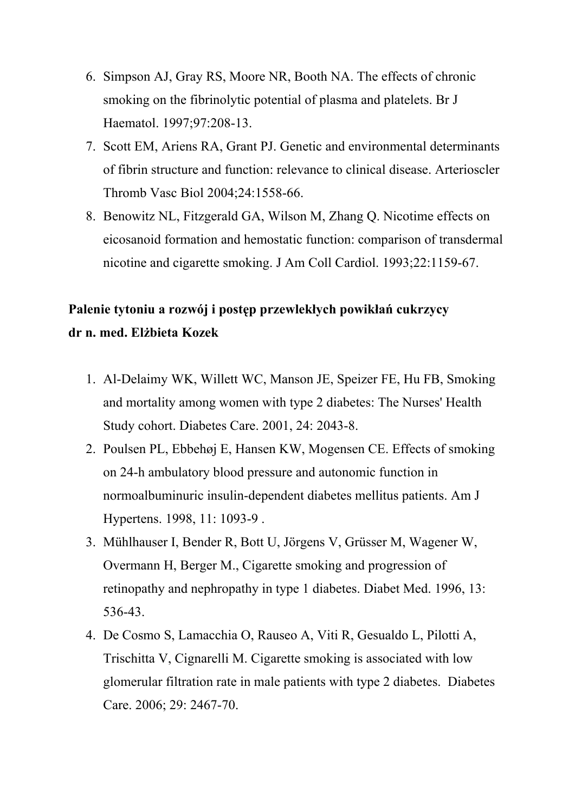- 6. Simpson AJ, Gray RS, Moore NR, Booth NA. The effects of chronic smoking on the fibrinolytic potential of plasma and platelets. Br J Haematol. 1997;97:208-13.
- 7. Scott EM, Ariens RA, Grant PJ. Genetic and environmental determinants of fibrin structure and function: relevance to clinical disease. Arterioscler Thromb Vasc Biol 2004;24:1558-66.
- 8. Benowitz NL, Fitzgerald GA, Wilson M, Zhang Q. Nicotime effects on eicosanoid formation and hemostatic function: comparison of transdermal nicotine and cigarette smoking. J Am Coll Cardiol. 1993;22:1159-67.

## **Palenie tytoniu a rozwój i postęp przewlekłych powikłań cukrzycy dr n. med. Elżbieta Kozek**

- 1. Al-Delaimy WK, Willett WC, Manson JE, Speizer FE, Hu FB, Smoking and mortality among women with type 2 diabetes: The Nurses' Health Study cohort. Diabetes Care. 2001, 24: 2043-8.
- 2. Poulsen PL, Ebbehøj E, Hansen KW, Mogensen CE. Effects of smoking on 24-h ambulatory blood pressure and autonomic function in normoalbuminuric insulin-dependent diabetes mellitus patients. Am J Hypertens. 1998, 11: 1093-9 .
- 3. Mühlhauser I, Bender R, Bott U, Jörgens V, Grüsser M, Wagener W, Overmann H, Berger M., Cigarette smoking and progression of retinopathy and nephropathy in type 1 diabetes. Diabet Med. 1996, 13: 536-43.
- 4. De Cosmo S, Lamacchia O, Rauseo A, Viti R, Gesualdo L, Pilotti A, Trischitta V, Cignarelli M. Cigarette smoking is associated with low glomerular filtration rate in male patients with type 2 diabetes. Diabetes Care. 2006; 29: 2467-70.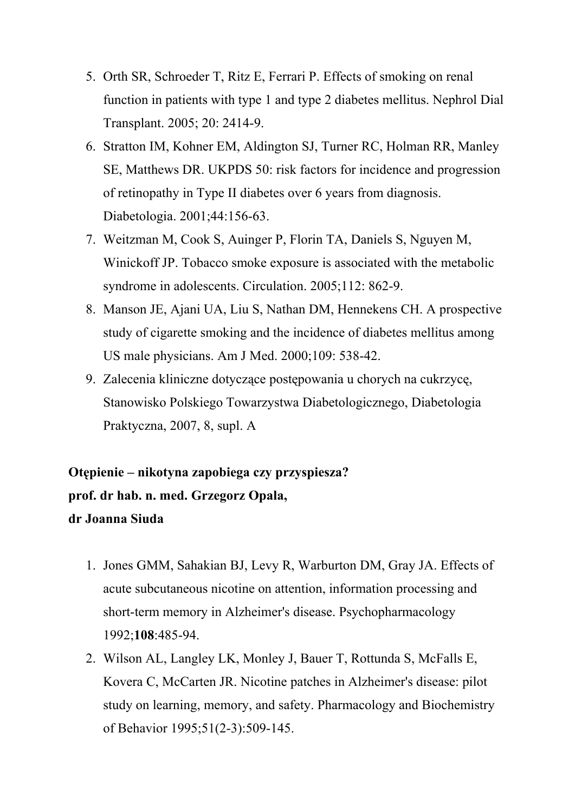- 5. Orth SR, Schroeder T, Ritz E, Ferrari P. Effects of smoking on renal function in patients with type 1 and type 2 diabetes mellitus. Nephrol Dial Transplant. 2005; 20: 2414-9.
- 6. Stratton IM, Kohner EM, Aldington SJ, Turner RC, Holman RR, Manley SE, Matthews DR. UKPDS 50: risk factors for incidence and progression of retinopathy in Type II diabetes over 6 years from diagnosis. Diabetologia. 2001;44:156-63.
- 7. Weitzman M, Cook S, Auinger P, Florin TA, Daniels S, Nguyen M, Winickoff JP. Tobacco smoke exposure is associated with the metabolic syndrome in adolescents. Circulation. 2005;112: 862-9.
- 8. Manson JE, Ajani UA, Liu S, Nathan DM, Hennekens CH. A prospective study of cigarette smoking and the incidence of diabetes mellitus among US male physicians. Am J Med. 2000;109: 538-42.
- 9. Zalecenia kliniczne dotyczące postępowania u chorych na cukrzycę, Stanowisko Polskiego Towarzystwa Diabetologicznego, Diabetologia Praktyczna, 2007, 8, supl. A

# **Otępienie – nikotyna zapobiega czy przyspiesza? prof. dr hab. n. med. Grzegorz Opala, dr Joanna Siuda**

- 1. Jones GMM, Sahakian BJ, Levy R, Warburton DM, Gray JA. Effects of acute subcutaneous nicotine on attention, information processing and short-term memory in Alzheimer's disease. Psychopharmacology 1992;**108**:485-94.
- 2. Wilson AL, Langley LK, Monley J, Bauer T, Rottunda S, McFalls E, Kovera C, McCarten JR. Nicotine patches in Alzheimer's disease: pilot study on learning, memory, and safety. Pharmacology and Biochemistry of Behavior 1995;51(2-3):509-145.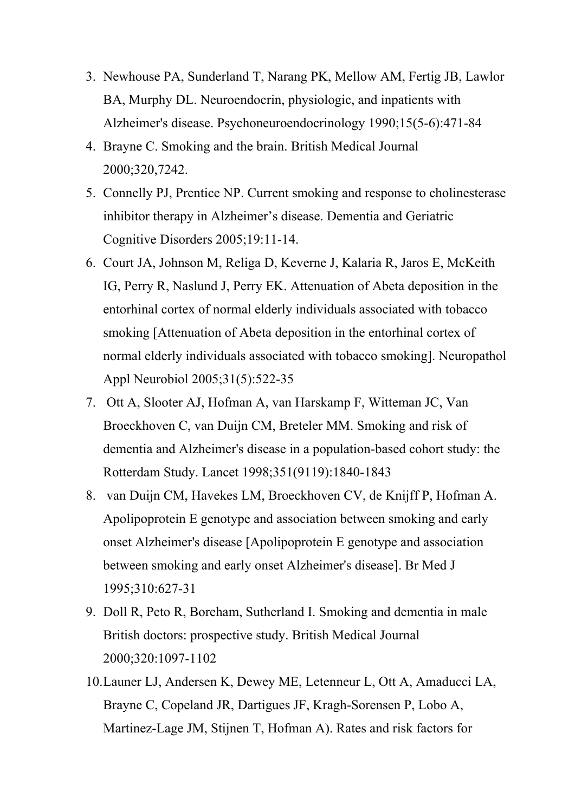- 3. Newhouse PA, Sunderland T, Narang PK, Mellow AM, Fertig JB, Lawlor BA, Murphy DL. Neuroendocrin, physiologic, and inpatients with Alzheimer's disease. Psychoneuroendocrinology 1990;15(5-6):471-84
- 4. Brayne C. Smoking and the brain. British Medical Journal 2000;320,7242.
- 5. Connelly PJ, Prentice NP. Current smoking and response to cholinesterase inhibitor therapy in Alzheimer's disease. Dementia and Geriatric Cognitive Disorders 2005;19:11-14.
- 6. Court JA, Johnson M, Religa D, Keverne J, Kalaria R, Jaros E, McKeith IG, Perry R, Naslund J, Perry EK. Attenuation of Abeta deposition in the entorhinal cortex of normal elderly individuals associated with tobacco smoking [Attenuation of Abeta deposition in the entorhinal cortex of normal elderly individuals associated with tobacco smoking]. Neuropathol Appl Neurobiol 2005;31(5):522-35
- 7. Ott A, Slooter AJ, Hofman A, van Harskamp F, Witteman JC, Van Broeckhoven C, van Duijn CM, Breteler MM. Smoking and risk of dementia and Alzheimer's disease in a population-based cohort study: the Rotterdam Study. Lancet 1998;351(9119):1840-1843
- 8. van Duijn CM, Havekes LM, Broeckhoven CV, de Knijff P, Hofman A. Apolipoprotein E genotype and association between smoking and early onset Alzheimer's disease [Apolipoprotein E genotype and association between smoking and early onset Alzheimer's disease]. Br Med J 1995;310:627-31
- 9. Doll R, Peto R, Boreham, Sutherland I. Smoking and dementia in male British doctors: prospective study. British Medical Journal 2000;320:1097-1102
- 10.Launer LJ, Andersen K, Dewey ME, Letenneur L, Ott A, Amaducci LA, Brayne C, Copeland JR, Dartigues JF, Kragh-Sorensen P, Lobo A, Martinez-Lage JM, Stijnen T, Hofman A). Rates and risk factors for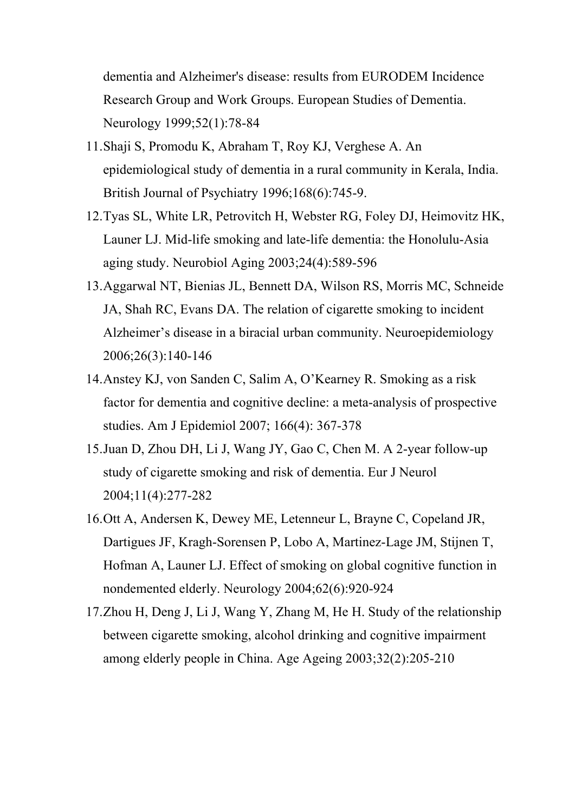dementia and Alzheimer's disease: results from EURODEM Incidence Research Group and Work Groups. European Studies of Dementia. Neurology 1999;52(1):78-84

- 11.Shaji S, Promodu K, Abraham T, Roy KJ, Verghese A. An epidemiological study of dementia in a rural community in Kerala, India. British Journal of Psychiatry 1996;168(6):745-9.
- 12.Tyas SL, White LR, Petrovitch H, Webster RG, Foley DJ, Heimovitz HK, Launer LJ. Mid-life smoking and late-life dementia: the Honolulu-Asia aging study. Neurobiol Aging 2003;24(4):589-596
- 13.Aggarwal NT, Bienias JL, Bennett DA, Wilson RS, Morris MC, Schneide JA, Shah RC, Evans DA. The relation of cigarette smoking to incident Alzheimer's disease in a biracial urban community. Neuroepidemiology 2006;26(3):140-146
- 14.Anstey KJ, von Sanden C, Salim A, O'Kearney R. Smoking as a risk factor for dementia and cognitive decline: a meta-analysis of prospective studies. Am J Epidemiol 2007; 166(4): 367-378
- 15.Juan D, Zhou DH, Li J, Wang JY, Gao C, Chen M. A 2-year follow-up study of cigarette smoking and risk of dementia. Eur J Neurol 2004;11(4):277-282
- 16.Ott A, Andersen K, Dewey ME, Letenneur L, Brayne C, Copeland JR, Dartigues JF, Kragh-Sorensen P, Lobo A, Martinez-Lage JM, Stijnen T, Hofman A, Launer LJ. Effect of smoking on global cognitive function in nondemented elderly. Neurology 2004;62(6):920-924
- 17.Zhou H, Deng J, Li J, Wang Y, Zhang M, He H. Study of the relationship between cigarette smoking, alcohol drinking and cognitive impairment among elderly people in China. Age Ageing 2003;32(2):205-210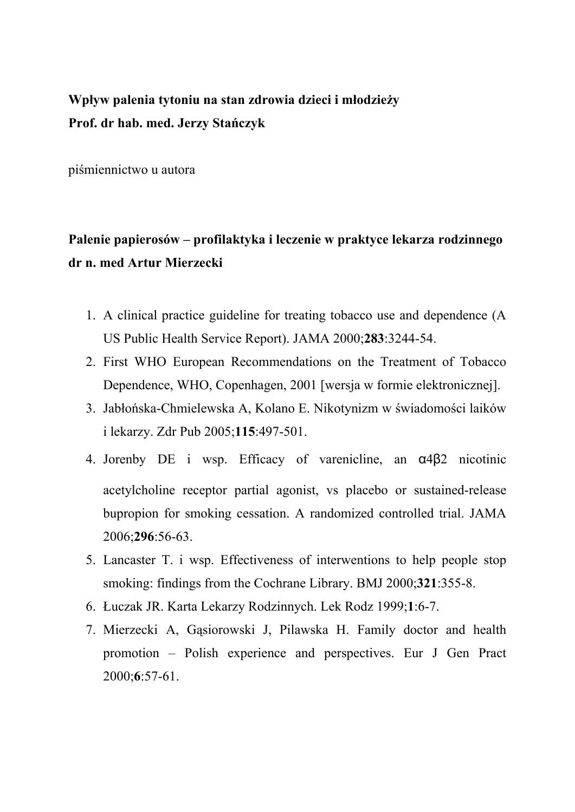## **Wpływ palenia tytoniu na stan zdrowia dzieci i młodzieży Prof. dr hab. med. Jerzy Stańczyk**

piśmiennictwo u autora

# **Palenie papierosów – profilaktyka i leczenie w praktyce lekarza rodzinnego dr n. med Artur Mierzecki**

- 1. A clinical practice guideline for treating tobacco use and dependence (A US Public Health Service Report). JAMA 2000;**283**:3244-54.
- 2. First WHO European Recommendations on the Treatment of Tobacco Dependence, WHO, Copenhagen, 2001 [wersja w formie elektronicznej].
- 3. Jabłońska-Chmielewska A, Kolano E. Nikotynizm w świadomości laików i lekarzy. Zdr Pub 2005;**115**:497-501.
- 4. Jorenby DE i wsp. Efficacy of varenicline, an α4β2 nicotinic acetylcholine receptor partial agonist, vs placebo or sustained-release bupropion for smoking cessation. A randomized controlled trial. JAMA 2006;**296**:56-63.
- 5. Lancaster T. i wsp. Effectiveness of interwentions to help people stop smoking: findings from the Cochrane Library. BMJ 2000;**321**:355-8.
- 6. Łuczak JR. Karta Lekarzy Rodzinnych. Lek Rodz 1999;**1**:6-7.
- 7. Mierzecki A, Gąsiorowski J, Pilawska H. Family doctor and health promotion – Polish experience and perspectives. Eur J Gen Pract 2000;**6**:57-61.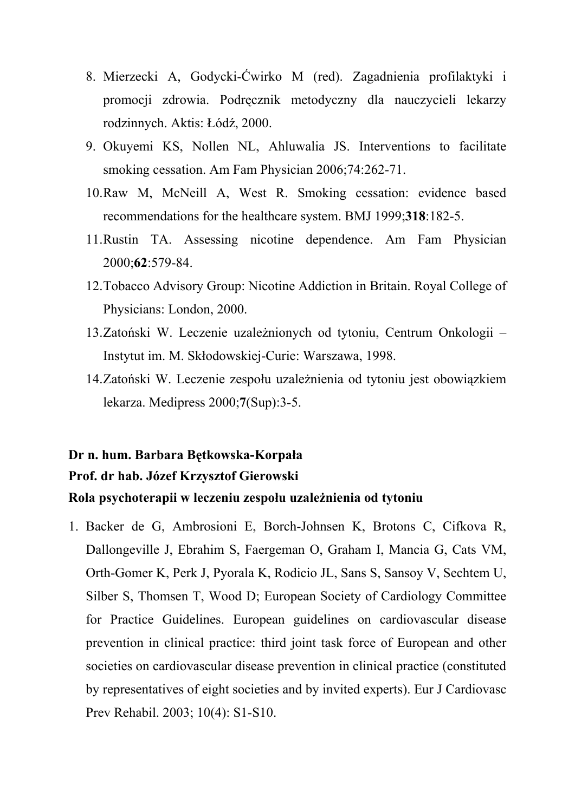- 8. Mierzecki A, Godycki-Ćwirko M (red). Zagadnienia profilaktyki i promocji zdrowia. Podręcznik metodyczny dla nauczycieli lekarzy rodzinnych. Aktis: Łódź, 2000.
- 9. Okuyemi KS, Nollen NL, Ahluwalia JS. Interventions to facilitate smoking cessation. Am Fam Physician 2006;74:262-71.
- 10.Raw M, McNeill A, West R. Smoking cessation: evidence based recommendations for the healthcare system. BMJ 1999;**318**:182-5.
- 11.Rustin TA. Assessing nicotine dependence. Am Fam Physician 2000;**62**:579-84.
- 12.Tobacco Advisory Group: Nicotine Addiction in Britain. Royal College of Physicians: London, 2000.
- 13.Zatoński W. Leczenie uzależnionych od tytoniu, Centrum Onkologii Instytut im. M. Skłodowskiej-Curie: Warszawa, 1998.
- 14.Zatoński W. Leczenie zespołu uzależnienia od tytoniu jest obowiązkiem lekarza. Medipress 2000;**7**(Sup):3-5.

#### **Dr n. hum. Barbara Bętkowska-Korpała**

#### **Prof. dr hab. Józef Krzysztof Gierowski**

#### **Rola psychoterapii w leczeniu zespołu uzależnienia od tytoniu**

1. Backer de G, Ambrosioni E, Borch-Johnsen K, Brotons C, Cifkova R, Dallongeville J, Ebrahim S, Faergeman O, Graham I, Mancia G, Cats VM, Orth-Gomer K, Perk J, Pyorala K, Rodicio JL, Sans S, Sansoy V, Sechtem U, Silber S, Thomsen T, Wood D; European Society of Cardiology Committee for Practice Guidelines. European guidelines on cardiovascular disease prevention in clinical practice: third joint task force of European and other societies on cardiovascular disease prevention in clinical practice (constituted by representatives of eight societies and by invited experts). Eur J Cardiovasc Prev Rehabil. 2003; 10(4): S1-S10.